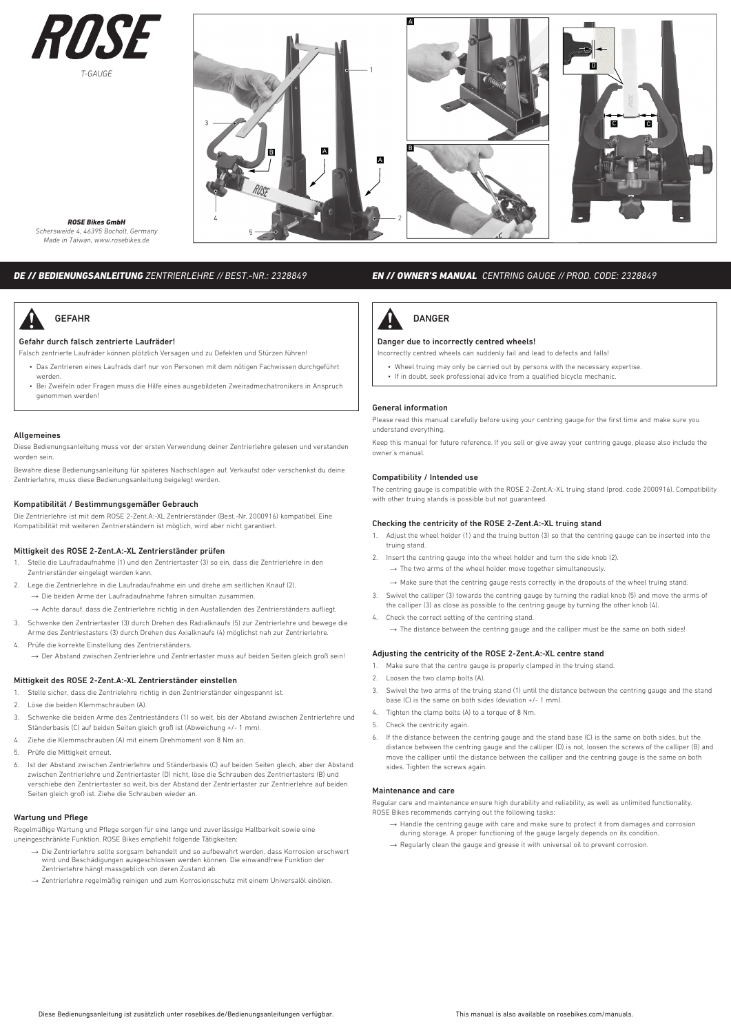



*ROSE Bikes GmbH Schersweide 4, 46395 Bocholt, Germany Made in Taiwan, www.rosebikes.de*

# *DE // BEDIENUNGSANLEITUNG ZENTRIERLEHRE // BEST.-NR.: 2328849*



# Gefahr durch falsch zentrierte Laufräder!

Falsch zentrierte Laufräder können plötzlich Versagen und zu Defekten und Stürzen führen!

- Das Zentrieren eines Laufrads darf nur von Personen mit dem nötigen Fachwissen durchgeführt werden.
- Bei Zweifeln oder Fragen muss die Hilfe eines ausgebildeten Zweiradmechatronikers in Anspruch genommen werden!

### Allgemeines

Diese Bedienungsanleitung muss vor der ersten Verwendung deiner Zentrierlehre gelesen und verstanden worden sein.

Bewahre diese Bedienungsanleitung für späteres Nachschlagen auf. Verkaufst oder verschenkst du deine Zentrierlehre, muss diese Bedienungsanleitung beigelegt werden.

### Kompatibilität / Bestimmungsgemäßer Gebrauch

Die Zentrierlehre ist mit dem ROSE 2-Zent.A:-XL Zentrierständer (Best.-Nr. 2000916) kompatibel. Eine Kompatibilität mit weiteren Zentrierständern ist möglich, wird aber nicht garantiert.

# Mittigkeit des ROSE 2-Zent.A:-XL Zentrierständer prüfen

- 1. Stelle die Laufradaufnahme (1) und den Zentriertaster (3) so ein, dass die Zentrierlehre in den Zentrierständer eingelegt werden kann.
- 2. Lege die Zentrierlehre in die Laufradaufnahme ein und drehe am seitlichen Knauf (2). → Die beiden Arme der Laufradaufnahme fahren simultan zusammen.
	- → Achte darauf, dass die Zentrierlehre richtig in den Ausfallenden des Zentrierständers aufliegt.
- 3. Schwenke den Zentriertaster (3) durch Drehen des Radialknaufs (5) zur Zentrierlehre und bewege die Arme des Zentriestasters (3) durch Drehen des Axialknaufs (4) möglichst nah zur Zentrierlehre.
- 4. Prüfe die korrekte Einstellung des Zentrierständers. → Der Abstand zwischen Zentrierlehre und Zentriertaster muss auf beiden Seiten gleich groß sein!

#### Mittigkeit des ROSE 2-Zent.A:-XL Zentrierständer einstellen

- 1. Stelle sicher, dass die Zentrielehre richtig in den Zentrierständer eingespannt ist.
- 2. Löse die beiden Klemmschrauben (A).
- 3. Schwenke die beiden Arme des Zentrieständers (1) so weit, bis der Abstand zwischen Zentrierlehre und Ständerbasis (C) auf beiden Seiten gleich groß ist (Abweichung +/- 1 mm).
- 4. Ziehe die Klemmschrauben (A) mit einem Drehmoment von 8 Nm an.
- 5. Prüfe die Mittigkeit erneut.
- 6. Ist der Abstand zwischen Zentrierlehre und Ständerbasis (C) auf beiden Seiten gleich, aber der Abstand zwischen Zentrierlehre und Zentriertaster (D) nicht, löse die Schrauben des Zentriertasters (B) und verschiebe den Zentriertaster so weit, bis der Abstand der Zentriertaster zur Zentrierlehre auf beiden Seiten gleich groß ist. Ziehe die Schrauben wieder an.

## Wartung und Pflege

Regelmäßige Wartung und Pflege sorgen für eine lange und zuverlässige Haltbarkeit sowie eine uneingeschränkte Funktion. ROSE Bikes empfiehlt folgende Tätigkeiten:

- → Die Zentrierlehre sollte sorgsam behandelt und so aufbewahrt werden, dass Korrosion erschwert wird und Beschädigungen ausgeschlossen werden können. Die einwandfreie Funktion der Zentrierlehre hängt massgeblich von deren Zustand ab.
- → Zentrierlehre regelmäßig reinigen und zum Korrosionsschutz mit einem Universalöl einölen.

# *EN // OWNER'S MANUAL CENTRING GAUGE // PROD. CODE: 2328849*



# Danger due to incorrectly centred wheels!

- Incorrectly centred wheels can suddenly fail and lead to defects and falls!
	- Wheel truing may only be carried out by persons with the necessary expertise.
	- If in doubt, seek professional advice from a qualified bicycle mechanic.

### General information

Please read this manual carefully before using your centring gauge for the first time and make sure you understand everything.

Keep this manual for future reference. If you sell or give away your centring gauge, please also include the owner's manual.

### Compatibility / Intended use

The centring gauge is compatible with the ROSE 2-Zent.A:-XL truing stand (prod. code 2000916). Compatibility with other truing stands is possible but not guaranteed.

# Checking the centricity of the ROSE 2-Zent.A:-XL truing stand

- 1. Adjust the wheel holder (1) and the truing button (3) so that the centring gauge can be inserted into the truing stand.
- Insert the centring gauge into the wheel holder and turn the side knob (2).  $\rightarrow$  The two arms of the wheel holder move together simultaneously.

→ Make sure that the centring gauge rests correctly in the dropouts of the wheel truing stand.

- 3. Swivel the calliper (3) towards the centring gauge by turning the radial knob (5) and move the arms of the calliper (3) as close as possible to the centring gauge by turning the other knob (4).
- 4. Check the correct setting of the centring stand.
	- $\rightarrow$  The distance between the centring gauge and the calliper must be the same on both sides!

## Adjusting the centricity of the ROSE 2-Zent.A:-XL centre stand

- 1. Make sure that the centre gauge is properly clamped in the truing stand.
- 2. Loosen the two clamp bolts (A).
- 3. Swivel the two arms of the truing stand (1) until the distance between the centring gauge and the stand base (C) is the same on both sides (deviation +/- 1 mm).
- 4. Tighten the clamp bolts (A) to a torque of 8 Nm.
- 5. Check the centricity again.
- 6. If the distance between the centring gauge and the stand base (C) is the same on both sides, but the distance between the centring gauge and the calliper (D) is not, loosen the screws of the calliper (B) and move the calliper until the distance between the calliper and the centring gauge is the same on both sides. Tighten the screws again.

## Maintenance and care

Regular care and maintenance ensure high durability and reliability, as well as unlimited functionality. ROSE Bikes recommends carrying out the following tasks:

- → Handle the centring gauge with care and make sure to protect it from damages and corrosion during storage. A proper functioning of the gauge largely depends on its condition
- → Regularly clean the gauge and grease it with universal oil to prevent corrosion.